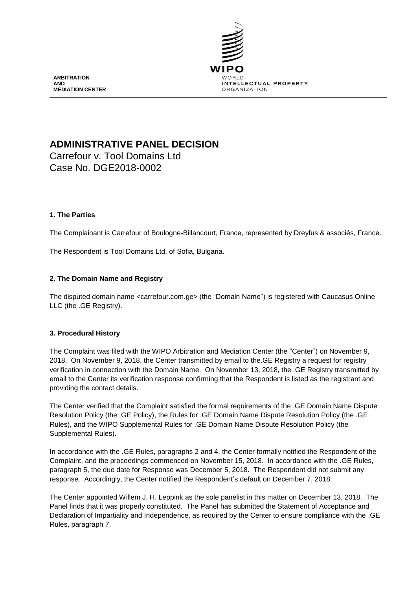

**ARBITRATION AND MEDIATION CENTER**

# **ADMINISTRATIVE PANEL DECISION**

Carrefour v. Tool Domains Ltd Case No. DGE2018-0002

## **1. The Parties**

The Complainant is Carrefour of Boulogne-Billancourt, France, represented by Dreyfus & associés, France.

The Respondent is Tool Domains Ltd. of Sofia, Bulgaria.

## **2. The Domain Name and Registry**

The disputed domain name <carrefour.com.ge> (the "Domain Name") is registered with Caucasus Online LLC (the .GE Registry).

#### **3. Procedural History**

The Complaint was filed with the WIPO Arbitration and Mediation Center (the "Center") on November 9, 2018. On November 9, 2018, the Center transmitted by email to the.GE Registry a request for registry verification in connection with the Domain Name. On November 13, 2018, the .GE Registry transmitted by email to the Center its verification response confirming that the Respondent is listed as the registrant and providing the contact details.

The Center verified that the Complaint satisfied the formal requirements of the .GE Domain Name Dispute Resolution Policy (the .GE Policy), the Rules for .GE Domain Name Dispute Resolution Policy (the .GE Rules), and the WIPO Supplemental Rules for .GE Domain Name Dispute Resolution Policy (the Supplemental Rules).

In accordance with the .GE Rules, paragraphs 2 and 4, the Center formally notified the Respondent of the Complaint, and the proceedings commenced on November 15, 2018. In accordance with the .GE Rules, paragraph 5, the due date for Response was December 5, 2018. The Respondent did not submit any response. Accordingly, the Center notified the Respondent's default on December 7, 2018.

The Center appointed Willem J. H. Leppink as the sole panelist in this matter on December 13, 2018. The Panel finds that it was properly constituted. The Panel has submitted the Statement of Acceptance and Declaration of Impartiality and Independence, as required by the Center to ensure compliance with the .GE Rules, paragraph 7.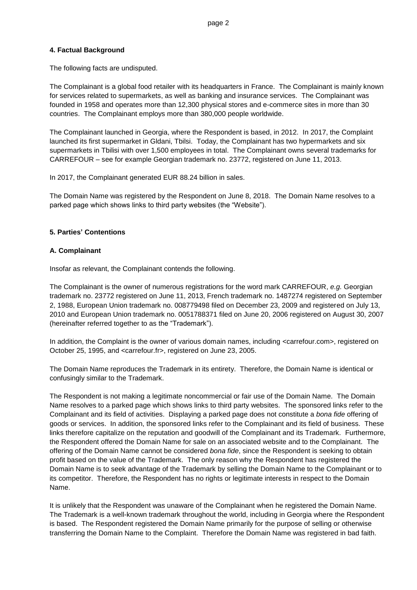#### **4. Factual Background**

The following facts are undisputed.

The Complainant is a global food retailer with its headquarters in France. The Complainant is mainly known for services related to supermarkets, as well as banking and insurance services. The Complainant was founded in 1958 and operates more than 12,300 physical stores and e-commerce sites in more than 30 countries. The Complainant employs more than 380,000 people worldwide.

The Complainant launched in Georgia, where the Respondent is based, in 2012. In 2017, the Complaint launched its first supermarket in Gldani, Tbilsi. Today, the Complainant has two hypermarkets and six supermarkets in Tbilisi with over 1,500 employees in total. The Complainant owns several trademarks for CARREFOUR – see for example Georgian trademark no. 23772, registered on June 11, 2013.

In 2017, the Complainant generated EUR 88.24 billion in sales.

The Domain Name was registered by the Respondent on June 8, 2018. The Domain Name resolves to a parked page which shows links to third party websites (the "Website").

## **5. Parties' Contentions**

## **A. Complainant**

Insofar as relevant, the Complainant contends the following.

The Complainant is the owner of numerous registrations for the word mark CARREFOUR, *e.g.* Georgian trademark no. 23772 registered on June 11, 2013, French trademark no. 1487274 registered on September 2, 1988, European Union trademark no. 008779498 filed on December 23, 2009 and registered on July 13, 2010 and European Union trademark no. 0051788371 filed on June 20, 2006 registered on August 30, 2007 (hereinafter referred together to as the "Trademark").

In addition, the Complaint is the owner of various domain names, including <carrefour.com>, registered on October 25, 1995, and <carrefour.fr>, registered on June 23, 2005.

The Domain Name reproduces the Trademark in its entirety. Therefore, the Domain Name is identical or confusingly similar to the Trademark.

The Respondent is not making a legitimate noncommercial or fair use of the Domain Name. The Domain Name resolves to a parked page which shows links to third party websites. The sponsored links refer to the Complainant and its field of activities. Displaying a parked page does not constitute a *bona fide* offering of goods or services. In addition, the sponsored links refer to the Complainant and its field of business. These links therefore capitalize on the reputation and goodwill of the Complainant and its Trademark. Furthermore, the Respondent offered the Domain Name for sale on an associated website and to the Complainant. The offering of the Domain Name cannot be considered *bona fide*, since the Respondent is seeking to obtain profit based on the value of the Trademark. The only reason why the Respondent has registered the Domain Name is to seek advantage of the Trademark by selling the Domain Name to the Complainant or to its competitor. Therefore, the Respondent has no rights or legitimate interests in respect to the Domain Name.

It is unlikely that the Respondent was unaware of the Complainant when he registered the Domain Name. The Trademark is a well-known trademark throughout the world, including in Georgia where the Respondent is based. The Respondent registered the Domain Name primarily for the purpose of selling or otherwise transferring the Domain Name to the Complaint. Therefore the Domain Name was registered in bad faith.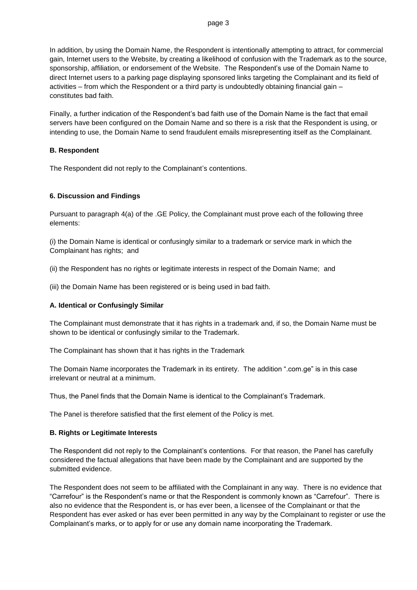In addition, by using the Domain Name, the Respondent is intentionally attempting to attract, for commercial gain, Internet users to the Website, by creating a likelihood of confusion with the Trademark as to the source, sponsorship, affiliation, or endorsement of the Website. The Respondent's use of the Domain Name to direct Internet users to a parking page displaying sponsored links targeting the Complainant and its field of activities – from which the Respondent or a third party is undoubtedly obtaining financial gain – constitutes bad faith.

Finally, a further indication of the Respondent's bad faith use of the Domain Name is the fact that email servers have been configured on the Domain Name and so there is a risk that the Respondent is using, or intending to use, the Domain Name to send fraudulent emails misrepresenting itself as the Complainant.

#### **B. Respondent**

The Respondent did not reply to the Complainant's contentions.

## **6. Discussion and Findings**

Pursuant to paragraph 4(a) of the .GE Policy, the Complainant must prove each of the following three elements:

(i) the Domain Name is identical or confusingly similar to a trademark or service mark in which the Complainant has rights; and

(ii) the Respondent has no rights or legitimate interests in respect of the Domain Name; and

(iii) the Domain Name has been registered or is being used in bad faith.

## **A. Identical or Confusingly Similar**

The Complainant must demonstrate that it has rights in a trademark and, if so, the Domain Name must be shown to be identical or confusingly similar to the Trademark.

The Complainant has shown that it has rights in the Trademark

The Domain Name incorporates the Trademark in its entirety. The addition ".com.ge" is in this case irrelevant or neutral at a minimum.

Thus, the Panel finds that the Domain Name is identical to the Complainant's Trademark.

The Panel is therefore satisfied that the first element of the Policy is met.

#### **B. Rights or Legitimate Interests**

The Respondent did not reply to the Complainant's contentions. For that reason, the Panel has carefully considered the factual allegations that have been made by the Complainant and are supported by the submitted evidence.

The Respondent does not seem to be affiliated with the Complainant in any way. There is no evidence that "Carrefour" is the Respondent's name or that the Respondent is commonly known as "Carrefour". There is also no evidence that the Respondent is, or has ever been, a licensee of the Complainant or that the Respondent has ever asked or has ever been permitted in any way by the Complainant to register or use the Complainant's marks, or to apply for or use any domain name incorporating the Trademark.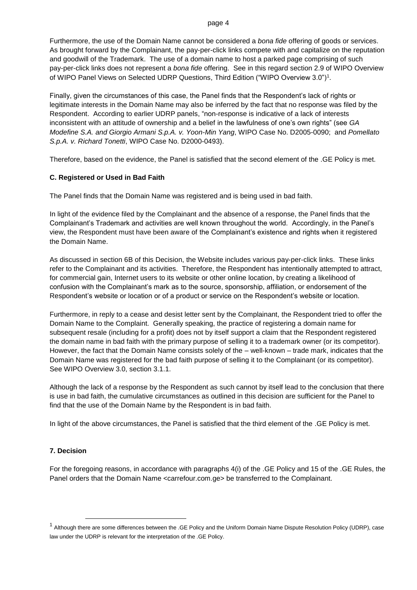Furthermore, the use of the Domain Name cannot be considered a *bona fide* offering of goods or services. As brought forward by the Complainant, the pay-per-click links compete with and capitalize on the reputation and goodwill of the Trademark. The use of a domain name to host a parked page comprising of such pay-per-click links does not represent a *bona fide* offering. See in this regard section 2.9 of WIPO Overview of WIPO Panel Views on Selected UDRP Questions, Third Edition ("WIPO Overview 3.0") $^{\rm 1}.$ 

Finally, given the circumstances of this case, the Panel finds that the Respondent's lack of rights or legitimate interests in the Domain Name may also be inferred by the fact that no response was filed by the Respondent. According to earlier UDRP panels, "non-response is indicative of a lack of interests inconsistent with an attitude of ownership and a belief in the lawfulness of one's own rights" (see *GA Modefine S.A. and Giorgio Armani S.p.A. v. Yoon-Min Yang*, WIPO Case No. D2005-0090; and *Pomellato S.p.A. v. Richard Tonetti*, WIPO Case No. D2000-0493).

Therefore, based on the evidence, the Panel is satisfied that the second element of the .GE Policy is met.

#### **C. Registered or Used in Bad Faith**

The Panel finds that the Domain Name was registered and is being used in bad faith.

In light of the evidence filed by the Complainant and the absence of a response, the Panel finds that the Complainant's Trademark and activities are well known throughout the world. Accordingly, in the Panel's view, the Respondent must have been aware of the Complainant's existence and rights when it registered the Domain Name.

As discussed in section 6B of this Decision, the Website includes various pay-per-click links. These links refer to the Complainant and its activities. Therefore, the Respondent has intentionally attempted to attract, for commercial gain, Internet users to its website or other online location, by creating a likelihood of confusion with the Complainant's mark as to the source, sponsorship, affiliation, or endorsement of the Respondent's website or location or of a product or service on the Respondent's website or location.

Furthermore, in reply to a cease and desist letter sent by the Complainant, the Respondent tried to offer the Domain Name to the Complaint. Generally speaking, the practice of registering a domain name for subsequent resale (including for a profit) does not by itself support a claim that the Respondent registered the domain name in bad faith with the primary purpose of selling it to a trademark owner (or its competitor). However, the fact that the Domain Name consists solely of the – well-known – trade mark, indicates that the Domain Name was registered for the bad faith purpose of selling it to the Complainant (or its competitor). See WIPO Overview 3.0, section 3.1.1.

Although the lack of a response by the Respondent as such cannot by itself lead to the conclusion that there is use in bad faith, the cumulative circumstances as outlined in this decision are sufficient for the Panel to find that the use of the Domain Name by the Respondent is in bad faith.

In light of the above circumstances, the Panel is satisfied that the third element of the .GE Policy is met.

#### **7. Decision**

-

For the foregoing reasons, in accordance with paragraphs 4(i) of the .GE Policy and 15 of the .GE Rules, the Panel orders that the Domain Name <carrefour.com.ge> be transferred to the Complainant.

<sup>&</sup>lt;sup>1</sup> Although there are some differences between the .GE Policy and the Uniform Domain Name Dispute Resolution Policy (UDRP), case law under the UDRP is relevant for the interpretation of the .GE Policy.